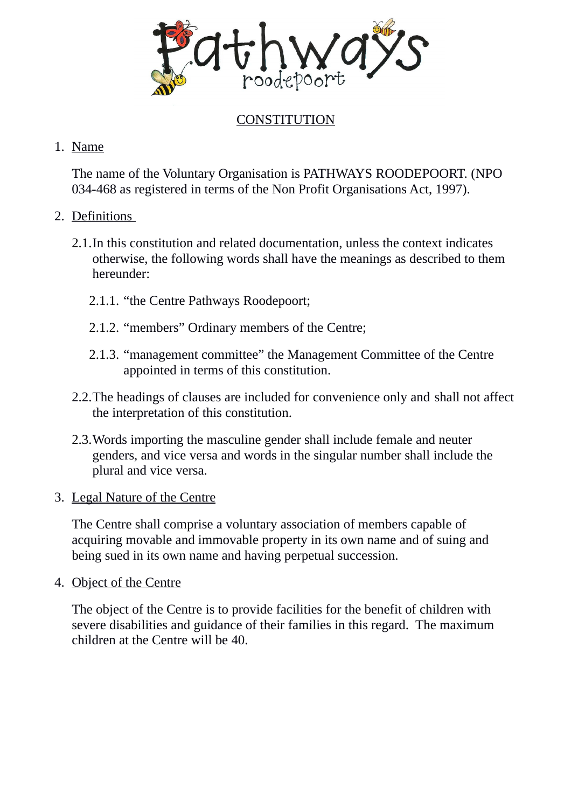

# **CONSTITUTION**

### 1. Name

The name of the Voluntary Organisation is PATHWAYS ROODEPOORT. (NPO 034-468 as registered in terms of the Non Profit Organisations Act, 1997).

### 2. Definitions

- 2.1.In this constitution and related documentation, unless the context indicates otherwise, the following words shall have the meanings as described to them hereunder:
	- 2.1.1. "the Centre Pathways Roodepoort;
	- 2.1.2. "members" Ordinary members of the Centre;
	- 2.1.3. "management committee" the Management Committee of the Centre appointed in terms of this constitution.
- 2.2.The headings of clauses are included for convenience only and shall not affect the interpretation of this constitution.
- 2.3.Words importing the masculine gender shall include female and neuter genders, and vice versa and words in the singular number shall include the plural and vice versa.
- 3. Legal Nature of the Centre

The Centre shall comprise a voluntary association of members capable of acquiring movable and immovable property in its own name and of suing and being sued in its own name and having perpetual succession.

4. Object of the Centre

The object of the Centre is to provide facilities for the benefit of children with severe disabilities and guidance of their families in this regard. The maximum children at the Centre will be 40.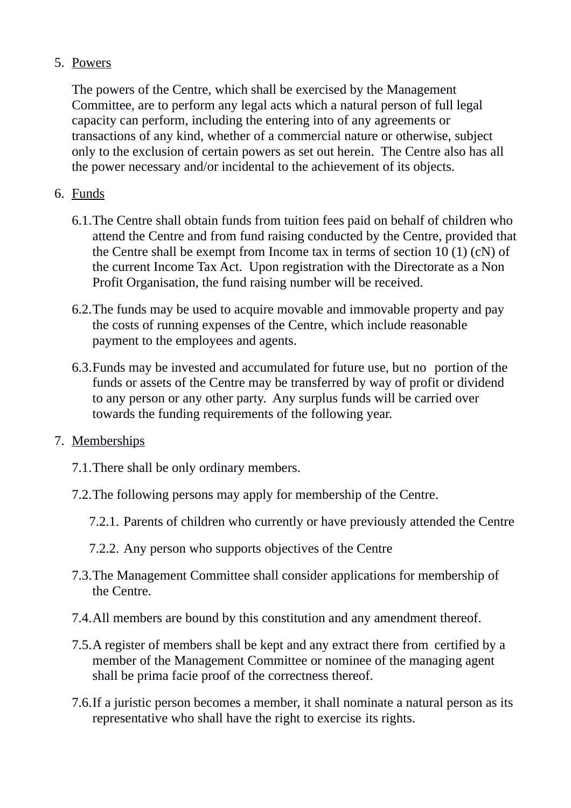# 5. Powers

The powers of the Centre, which shall be exercised by the Management Committee, are to perform any legal acts which a natural person of full legal capacity can perform, including the entering into of any agreements or transactions of any kind, whether of a commercial nature or otherwise, subject only to the exclusion of certain powers as set out herein. The Centre also has all the power necessary and/or incidental to the achievement of its objects.

# 6. Funds

- 6.1.The Centre shall obtain funds from tuition fees paid on behalf of children who attend the Centre and from fund raising conducted by the Centre, provided that the Centre shall be exempt from Income tax in terms of section 10 (1) (cN) of the current Income Tax Act. Upon registration with the Directorate as a Non Profit Organisation, the fund raising number will be received.
- 6.2.The funds may be used to acquire movable and immovable property and pay the costs of running expenses of the Centre, which include reasonable payment to the employees and agents.
- 6.3.Funds may be invested and accumulated for future use, but no portion of the funds or assets of the Centre may be transferred by way of profit or dividend to any person or any other party. Any surplus funds will be carried over towards the funding requirements of the following year.

# 7. Memberships

- 7.1.There shall be only ordinary members.
- 7.2.The following persons may apply for membership of the Centre.
	- 7.2.1. Parents of children who currently or have previously attended the Centre
	- 7.2.2. Any person who supports objectives of the Centre
- 7.3.The Management Committee shall consider applications for membership of the Centre.
- 7.4.All members are bound by this constitution and any amendment thereof.
- 7.5.A register of members shall be kept and any extract there from certified by a member of the Management Committee or nominee of the managing agent shall be prima facie proof of the correctness thereof.
- 7.6.If a juristic person becomes a member, it shall nominate a natural person as its representative who shall have the right to exercise its rights.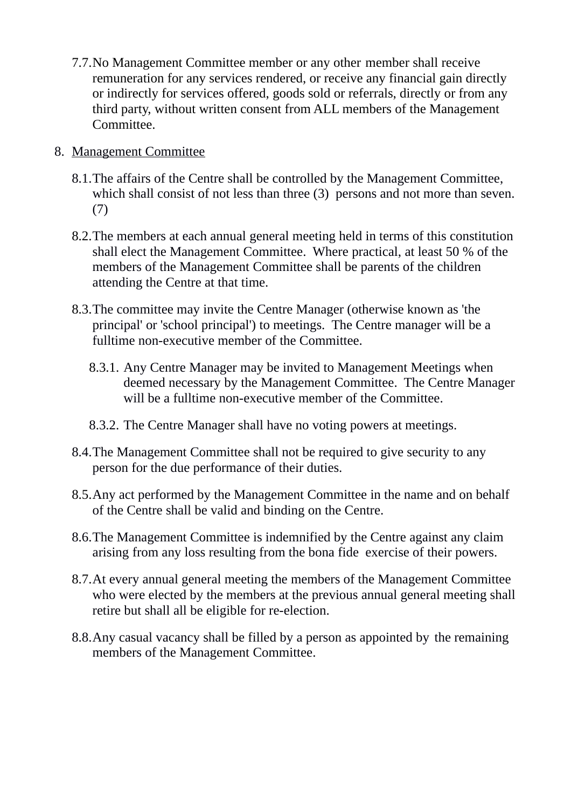7.7.No Management Committee member or any other member shall receive remuneration for any services rendered, or receive any financial gain directly or indirectly for services offered, goods sold or referrals, directly or from any third party, without written consent from ALL members of the Management Committee.

### 8. Management Committee

- 8.1.The affairs of the Centre shall be controlled by the Management Committee, which shall consist of not less than three (3) persons and not more than seven. (7)
- 8.2.The members at each annual general meeting held in terms of this constitution shall elect the Management Committee. Where practical, at least 50 % of the members of the Management Committee shall be parents of the children attending the Centre at that time.
- 8.3.The committee may invite the Centre Manager (otherwise known as 'the principal' or 'school principal') to meetings. The Centre manager will be a fulltime non-executive member of the Committee.
	- 8.3.1. Any Centre Manager may be invited to Management Meetings when deemed necessary by the Management Committee. The Centre Manager will be a fulltime non-executive member of the Committee.
	- 8.3.2. The Centre Manager shall have no voting powers at meetings.
- 8.4.The Management Committee shall not be required to give security to any person for the due performance of their duties.
- 8.5.Any act performed by the Management Committee in the name and on behalf of the Centre shall be valid and binding on the Centre.
- 8.6.The Management Committee is indemnified by the Centre against any claim arising from any loss resulting from the bona fide exercise of their powers.
- 8.7.At every annual general meeting the members of the Management Committee who were elected by the members at the previous annual general meeting shall retire but shall all be eligible for re-election.
- 8.8.Any casual vacancy shall be filled by a person as appointed by the remaining members of the Management Committee.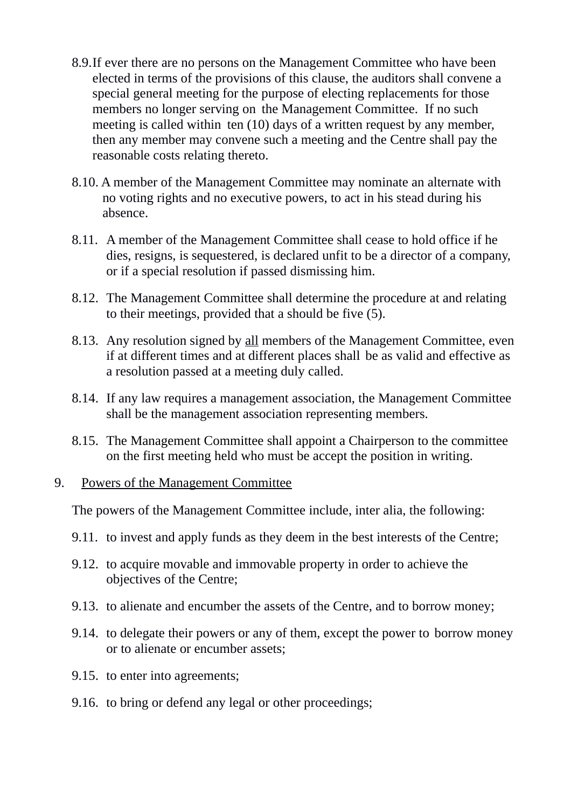- 8.9.If ever there are no persons on the Management Committee who have been elected in terms of the provisions of this clause, the auditors shall convene a special general meeting for the purpose of electing replacements for those members no longer serving on the Management Committee. If no such meeting is called within ten (10) days of a written request by any member, then any member may convene such a meeting and the Centre shall pay the reasonable costs relating thereto.
- 8.10. A member of the Management Committee may nominate an alternate with no voting rights and no executive powers, to act in his stead during his absence.
- 8.11. A member of the Management Committee shall cease to hold office if he dies, resigns, is sequestered, is declared unfit to be a director of a company, or if a special resolution if passed dismissing him.
- 8.12. The Management Committee shall determine the procedure at and relating to their meetings, provided that a should be five (5).
- 8.13. Any resolution signed by all members of the Management Committee, even if at different times and at different places shall be as valid and effective as a resolution passed at a meeting duly called.
- 8.14. If any law requires a management association, the Management Committee shall be the management association representing members.
- 8.15. The Management Committee shall appoint a Chairperson to the committee on the first meeting held who must be accept the position in writing.

#### 9. Powers of the Management Committee

The powers of the Management Committee include, inter alia, the following:

- 9.11. to invest and apply funds as they deem in the best interests of the Centre;
- 9.12. to acquire movable and immovable property in order to achieve the objectives of the Centre;
- 9.13. to alienate and encumber the assets of the Centre, and to borrow money;
- 9.14. to delegate their powers or any of them, except the power to borrow money or to alienate or encumber assets;
- 9.15. to enter into agreements;
- 9.16. to bring or defend any legal or other proceedings;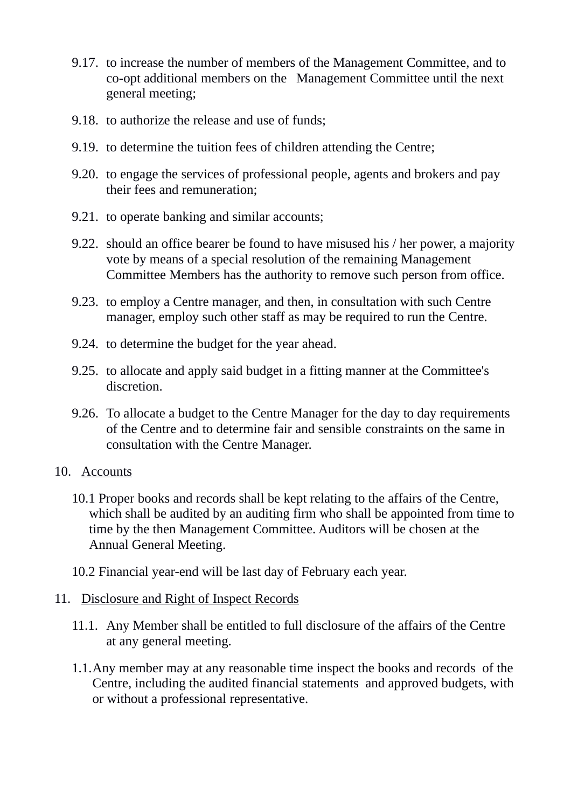- 9.17. to increase the number of members of the Management Committee, and to co-opt additional members on the Management Committee until the next general meeting;
- 9.18. to authorize the release and use of funds;
- 9.19. to determine the tuition fees of children attending the Centre;
- 9.20. to engage the services of professional people, agents and brokers and pay their fees and remuneration;
- 9.21. to operate banking and similar accounts;
- 9.22. should an office bearer be found to have misused his / her power, a majority vote by means of a special resolution of the remaining Management Committee Members has the authority to remove such person from office.
- 9.23. to employ a Centre manager, and then, in consultation with such Centre manager, employ such other staff as may be required to run the Centre.
- 9.24. to determine the budget for the year ahead.
- 9.25. to allocate and apply said budget in a fitting manner at the Committee's discretion.
- 9.26. To allocate a budget to the Centre Manager for the day to day requirements of the Centre and to determine fair and sensible constraints on the same in consultation with the Centre Manager.
- 10. Accounts
	- 10.1 Proper books and records shall be kept relating to the affairs of the Centre, which shall be audited by an auditing firm who shall be appointed from time to time by the then Management Committee. Auditors will be chosen at the Annual General Meeting.
	- 10.2 Financial year-end will be last day of February each year.
- 11. Disclosure and Right of Inspect Records
	- 11.1. Any Member shall be entitled to full disclosure of the affairs of the Centre at any general meeting.
	- 1.1.Any member may at any reasonable time inspect the books and records of the Centre, including the audited financial statements and approved budgets, with or without a professional representative.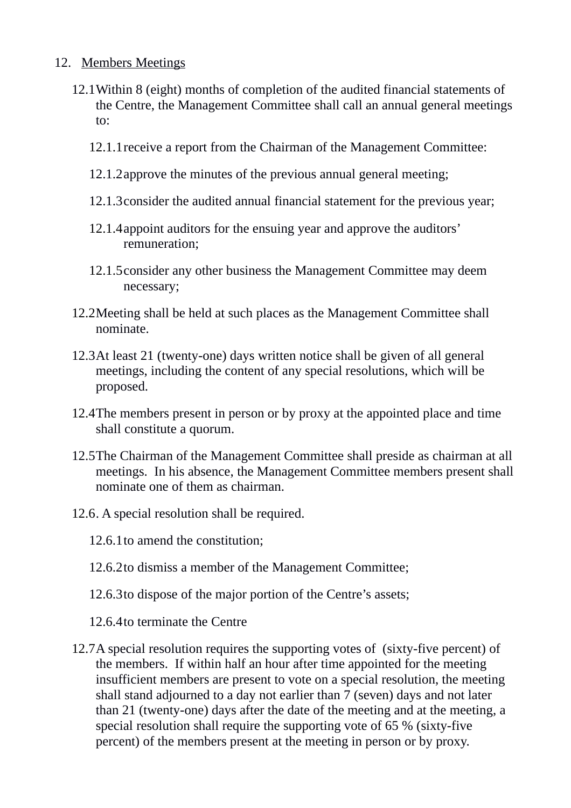#### 12. Members Meetings

- 12.1Within 8 (eight) months of completion of the audited financial statements of the Centre, the Management Committee shall call an annual general meetings to:
	- 12.1.1receive a report from the Chairman of the Management Committee:
	- 12.1.2approve the minutes of the previous annual general meeting;
	- 12.1.3consider the audited annual financial statement for the previous year;
	- 12.1.4appoint auditors for the ensuing year and approve the auditors' remuneration;
	- 12.1.5consider any other business the Management Committee may deem necessary;
- 12.2Meeting shall be held at such places as the Management Committee shall nominate.
- 12.3At least 21 (twenty-one) days written notice shall be given of all general meetings, including the content of any special resolutions, which will be proposed.
- 12.4The members present in person or by proxy at the appointed place and time shall constitute a quorum.
- 12.5The Chairman of the Management Committee shall preside as chairman at all meetings. In his absence, the Management Committee members present shall nominate one of them as chairman.
- 12.6. A special resolution shall be required.
	- 12.6.1to amend the constitution;
	- 12.6.2to dismiss a member of the Management Committee;
	- 12.6.3to dispose of the major portion of the Centre's assets;
	- 12.6.4to terminate the Centre
- 12.7A special resolution requires the supporting votes of (sixty-five percent) of the members. If within half an hour after time appointed for the meeting insufficient members are present to vote on a special resolution, the meeting shall stand adjourned to a day not earlier than 7 (seven) days and not later than 21 (twenty-one) days after the date of the meeting and at the meeting, a special resolution shall require the supporting vote of 65 % (sixty-five percent) of the members present at the meeting in person or by proxy.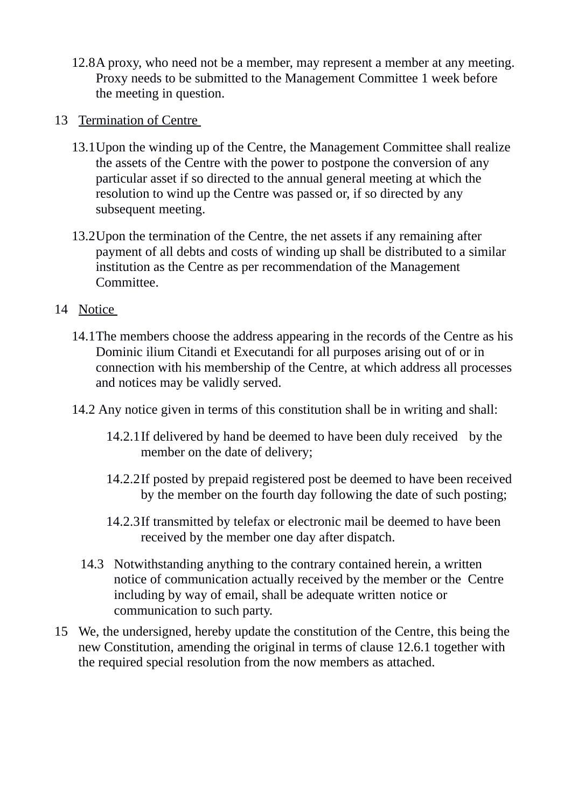- 12.8A proxy, who need not be a member, may represent a member at any meeting. Proxy needs to be submitted to the Management Committee 1 week before the meeting in question.
- 13 Termination of Centre
	- 13.1Upon the winding up of the Centre, the Management Committee shall realize the assets of the Centre with the power to postpone the conversion of any particular asset if so directed to the annual general meeting at which the resolution to wind up the Centre was passed or, if so directed by any subsequent meeting.
	- 13.2Upon the termination of the Centre, the net assets if any remaining after payment of all debts and costs of winding up shall be distributed to a similar institution as the Centre as per recommendation of the Management Committee.
- 14 Notice
	- 14.1The members choose the address appearing in the records of the Centre as his Dominic ilium Citandi et Executandi for all purposes arising out of or in connection with his membership of the Centre, at which address all processes and notices may be validly served.
	- 14.2 Any notice given in terms of this constitution shall be in writing and shall:
		- 14.2.1If delivered by hand be deemed to have been duly received by the member on the date of delivery;
		- 14.2.2If posted by prepaid registered post be deemed to have been received by the member on the fourth day following the date of such posting;
		- 14.2.3If transmitted by telefax or electronic mail be deemed to have been received by the member one day after dispatch.
		- 14.3 Notwithstanding anything to the contrary contained herein, a written notice of communication actually received by the member or the Centre including by way of email, shall be adequate written notice or communication to such party.
- 15 We, the undersigned, hereby update the constitution of the Centre, this being the new Constitution, amending the original in terms of clause 12.6.1 together with the required special resolution from the now members as attached.